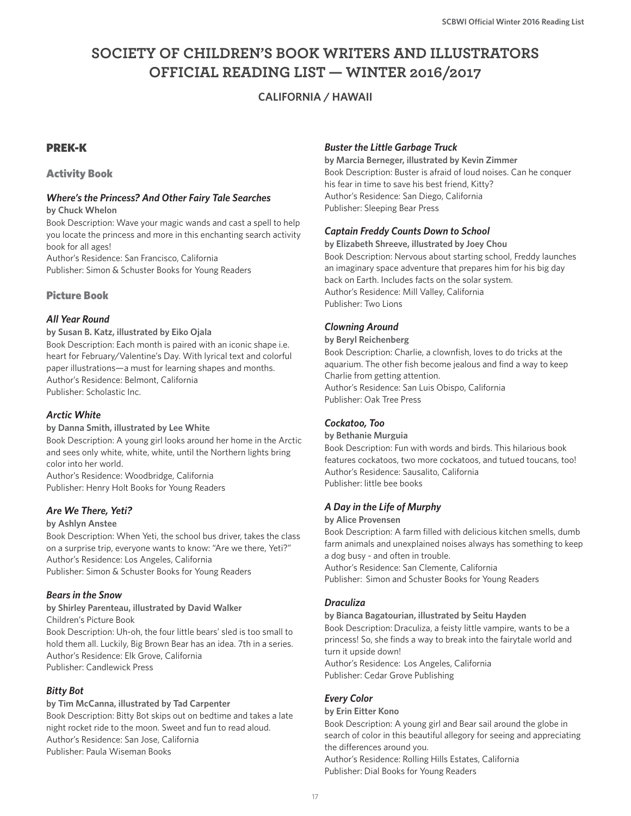# **SOCIETY OF CHILDREN'S BOOK WRITERS AND ILLUSTRATORS OFFICIAL READING LIST — WINTER 2016/2017**

## **CALIFORNIA / HAWAII**

### PREK-K

### Activity Book

# *Where's the Princess? And Other Fairy Tale Searches*

**by Chuck Whelon**

Book Description: Wave your magic wands and cast a spell to help you locate the princess and more in this enchanting search activity book for all ages!

Author's Residence: San Francisco, California Publisher: Simon & Schuster Books for Young Readers

### Picture Book

### *All Year Round*

**by Susan B. Katz, illustrated by Eiko Ojala** Book Description: Each month is paired with an iconic shape i.e. heart for February/Valentine's Day. With lyrical text and colorful paper illustrations—a must for learning shapes and months. Author's Residence: Belmont, California Publisher: Scholastic Inc.

### *Arctic White*

#### **by Danna Smith, illustrated by Lee White**

Book Description: A young girl looks around her home in the Arctic and sees only white, white, white, until the Northern lights bring color into her world.

Author's Residence: Woodbridge, California Publisher: Henry Holt Books for Young Readers

### *Are We There, Yeti?*

#### **by Ashlyn Anstee**

Book Description: When Yeti, the school bus driver, takes the class on a surprise trip, everyone wants to know: "Are we there, Yeti?" Author's Residence: Los Angeles, California Publisher: Simon & Schuster Books for Young Readers

### *Bears in the Snow*

**by Shirley Parenteau, illustrated by David Walker** Children's Picture Book Book Description: Uh-oh, the four little bears' sled is too small to hold them all. Luckily, Big Brown Bear has an idea. 7th in a series. Author's Residence: Elk Grove, California Publisher: Candlewick Press

### *Bitty Bot*

#### **by Tim McCanna, illustrated by Tad Carpenter**

Book Description: Bitty Bot skips out on bedtime and takes a late night rocket ride to the moon. Sweet and fun to read aloud. Author's Residence: San Jose, California Publisher: Paula Wiseman Books

### *Buster the Little Garbage Truck*

**by Marcia Berneger, illustrated by Kevin Zimmer** Book Description: Buster is afraid of loud noises. Can he conquer his fear in time to save his best friend, Kitty? Author's Residence: San Diego, California Publisher: Sleeping Bear Press

#### *Captain Freddy Counts Down to School*

**by Elizabeth Shreeve, illustrated by Joey Chou** Book Description: Nervous about starting school, Freddy launches an imaginary space adventure that prepares him for his big day back on Earth. Includes facts on the solar system. Author's Residence: Mill Valley, California Publisher: Two Lions

### *Clowning Around*

**by Beryl Reichenberg** Book Description: Charlie, a clownfish, loves to do tricks at the aquarium. The other fish become jealous and find a way to keep Charlie from getting attention. Author's Residence: San Luis Obispo, California Publisher: Oak Tree Press

### *Cockatoo, Too*

**by Bethanie Murguia**

Book Description: Fun with words and birds. This hilarious book features cockatoos, two more cockatoos, and tutued toucans, too! Author's Residence: Sausalito, California Publisher: little bee books

### *A Day in the Life of Murphy*

#### **by Alice Provensen**

Book Description: A farm filled with delicious kitchen smells, dumb farm animals and unexplained noises always has something to keep a dog busy - and often in trouble.

Author's Residence: San Clemente, California Publisher: Simon and Schuster Books for Young Readers

### *Draculiza*

#### **by Bianca Bagatourian, illustrated by Seitu Hayden**

Book Description: Draculiza, a feisty little vampire, wants to be a princess! So, she finds a way to break into the fairytale world and turn it upside down!

Author's Residence: Los Angeles, California Publisher: Cedar Grove Publishing

### *Every Color*

#### **by Erin Eitter Kono**

Book Description: A young girl and Bear sail around the globe in search of color in this beautiful allegory for seeing and appreciating the differences around you.

Author's Residence: Rolling Hills Estates, California Publisher: Dial Books for Young Readers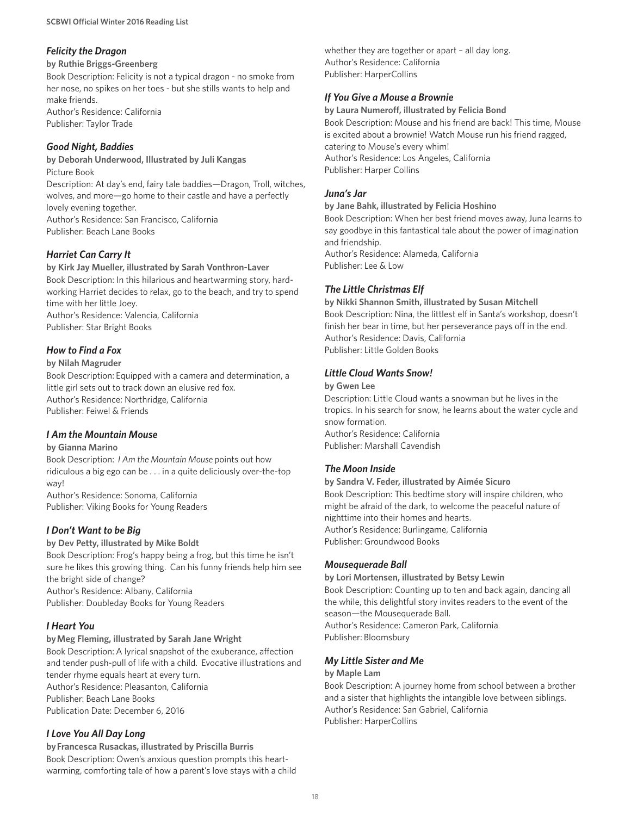### *Felicity the Dragon*

#### **by Ruthie Briggs-Greenberg**

Book Description: Felicity is not a typical dragon - no smoke from her nose, no spikes on her toes - but she stills wants to help and make friends. Author's Residence: California Publisher: Taylor Trade

### *Good Night, Baddies*

**by Deborah Underwood, Illustrated by Juli Kangas** Picture Book Description: At day's end, fairy tale baddies—Dragon, Troll, witches, wolves, and more—go home to their castle and have a perfectly lovely evening together. Author's Residence: San Francisco, California Publisher: Beach Lane Books

### *Harriet Can Carry It*

**by Kirk Jay Mueller, illustrated by Sarah Vonthron-Laver** Book Description: In this hilarious and heartwarming story, hardworking Harriet decides to relax, go to the beach, and try to spend time with her little Joey. Author's Residence: Valencia, California Publisher: Star Bright Books

### *How to Find a Fox*

#### **by Nilah Magruder**

Book Description: Equipped with a camera and determination, a little girl sets out to track down an elusive red fox. Author's Residence: Northridge, California Publisher: Feiwel & Friends

### *I Am the Mountain Mouse*

#### **by Gianna Marino**

Book Description:  *I Am the Mountain Mouse* points out how ridiculous a big ego can be . . . in a quite deliciously over-the-top way!

Author's Residence: Sonoma, California Publisher: Viking Books for Young Readers

### *I Don't Want to be Big*

#### **by Dev Petty, illustrated by Mike Boldt**

Book Description: Frog's happy being a frog, but this time he isn't sure he likes this growing thing. Can his funny friends help him see the bright side of change? Author's Residence: Albany, California Publisher: Doubleday Books for Young Readers

### *I Heart You*

#### **by Meg Fleming, illustrated by Sarah Jane Wright**

Book Description: A lyrical snapshot of the exuberance, affection and tender push-pull of life with a child. Evocative illustrations and tender rhyme equals heart at every turn. Author's Residence: Pleasanton, California Publisher: Beach Lane Books Publication Date: December 6, 2016

### *I Love You All Day Long*

**by Francesca Rusackas, illustrated by Priscilla Burris** Book Description: Owen's anxious question prompts this heartwarming, comforting tale of how a parent's love stays with a child whether they are together or apart – all day long. Author's Residence: California Publisher: HarperCollins

#### *If You Give a Mouse a Brownie*

**by Laura Numeroff, illustrated by Felicia Bond** Book Description: Mouse and his friend are back! This time, Mouse is excited about a brownie! Watch Mouse run his friend ragged, catering to Mouse's every whim! Author's Residence: Los Angeles, California Publisher: Harper Collins

#### *Juna's Jar*

#### **by Jane Bahk, illustrated by Felicia Hoshino**

Book Description: When her best friend moves away, Juna learns to say goodbye in this fantastical tale about the power of imagination and friendship. Author's Residence: Alameda, California

Publisher: Lee & Low

### *The Little Christmas Elf*

**by Nikki Shannon Smith, illustrated by Susan Mitchell**  Book Description: Nina, the littlest elf in Santa's workshop, doesn't finish her bear in time, but her perseverance pays off in the end. Author's Residence: Davis, California Publisher: Little Golden Books

#### *Little Cloud Wants Snow!*

#### **by Gwen Lee**

Description: Little Cloud wants a snowman but he lives in the tropics. In his search for snow, he learns about the water cycle and snow formation.

Author's Residence: California Publisher: Marshall Cavendish

### *The Moon Inside*

**by Sandra V. Feder, illustrated by Aimée Sicuro**  Book Description: This bedtime story will inspire children, who might be afraid of the dark, to welcome the peaceful nature of nighttime into their homes and hearts. Author's Residence: Burlingame, California Publisher: Groundwood Books

#### *Mousequerade Ball*

**by Lori Mortensen, illustrated by Betsy Lewin** Book Description: Counting up to ten and back again, dancing all the while, this delightful story invites readers to the event of the season—the Mousequerade Ball. Author's Residence: Cameron Park, California

Publisher: Bloomsbury

### *My Little Sister and Me*

#### **by Maple Lam**

Book Description: A journey home from school between a brother and a sister that highlights the intangible love between siblings. Author's Residence: San Gabriel, California Publisher: HarperCollins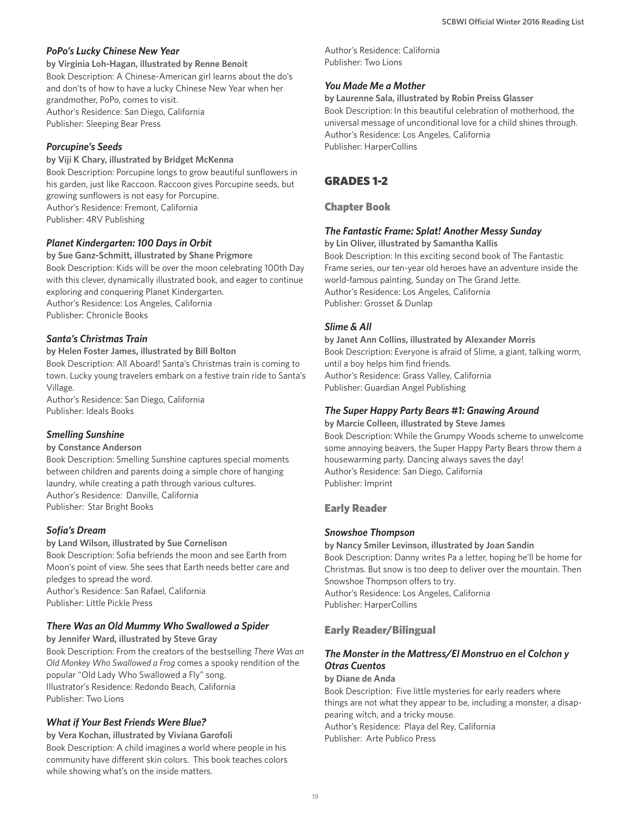#### *PoPo's Lucky Chinese New Year*

**by Virginia Loh-Hagan, illustrated by Renne Benoit** Book Description: A Chinese-American girl learns about the do's and don'ts of how to have a lucky Chinese New Year when her grandmother, PoPo, comes to visit. Author's Residence: San Diego, California Publisher: Sleeping Bear Press

#### *Porcupine's Seeds*

#### **by Viji K Chary, illustrated by Bridget McKenna**

Book Description: Porcupine longs to grow beautiful sunflowers in his garden, just like Raccoon. Raccoon gives Porcupine seeds, but growing sunflowers is not easy for Porcupine. Author's Residence: Fremont, California Publisher: 4RV Publishing

#### *Planet Kindergarten: 100 Days in Orbit*

**by Sue Ganz-Schmitt, illustrated by Shane Prigmore** Book Description: Kids will be over the moon celebrating 100th Day with this clever, dynamically illustrated book, and eager to continue exploring and conquering Planet Kindergarten. Author's Residence: Los Angeles, California Publisher: Chronicle Books

#### *Santa's Christmas Train*

#### **by Helen Foster James, illustrated by Bill Bolton**

Book Description: All Aboard! Santa's Christmas train is coming to town. Lucky young travelers embark on a festive train ride to Santa's Village.

Author's Residence: San Diego, California Publisher: Ideals Books

### *Smelling Sunshine*

#### **by Constance Anderson**

Book Description: Smelling Sunshine captures special moments between children and parents doing a simple chore of hanging laundry, while creating a path through various cultures. Author's Residence: Danville, California Publisher: Star Bright Books

#### *Sofia's Dream*

#### **by Land Wilson, illustrated by Sue Cornelison**

Book Description: Sofia befriends the moon and see Earth from Moon's point of view. She sees that Earth needs better care and pledges to spread the word. Author's Residence: San Rafael, California Publisher: Little Pickle Press

#### *There Was an Old Mummy Who Swallowed a Spider*

**by Jennifer Ward, illustrated by Steve Gray** Book Description: From the creators of the bestselling *There Was an Old Monkey Who Swallowed a Frog* comes a spooky rendition of the popular "Old Lady Who Swallowed a Fly" song. Illustrator's Residence: Redondo Beach, California Publisher: Two Lions

### *What if Your Best Friends Were Blue?*

**by Vera Kochan, illustrated by Viviana Garofoli** Book Description: A child imagines a world where people in his community have different skin colors. This book teaches colors while showing what's on the inside matters.

Author's Residence: California Publisher: Two Lions

#### *You Made Me a Mother*

**by Laurenne Sala, illustrated by Robin Preiss Glasser** Book Description: In this beautiful celebration of motherhood, the universal message of unconditional love for a child shines through. Author's Residence: Los Angeles, California Publisher: HarperCollins

### GRADES 1-2

### Chapter Book

#### *The Fantastic Frame: Splat! Another Messy Sunday*

**by Lin Oliver, illustrated by Samantha Kallis** Book Description: In this exciting second book of The Fantastic Frame series, our ten-year old heroes have an adventure inside the world-famous painting, Sunday on The Grand Jette. Author's Residence: Los Angeles, California Publisher: Grosset & Dunlap

#### *Slime & All*

**by Janet Ann Collins, illustrated by Alexander Morris** Book Description: Everyone is afraid of Slime, a giant, talking worm, until a boy helps him find friends. Author's Residence: Grass Valley, California Publisher: Guardian Angel Publishing

#### *The Super Happy Party Bears #1: Gnawing Around*

**by Marcie Colleen, illustrated by Steve James** Book Description: While the Grumpy Woods scheme to unwelcome some annoying beavers, the Super Happy Party Bears throw them a housewarming party. Dancing always saves the day! Author's Residence: San Diego, California Publisher: Imprint

#### Early Reader

#### *Snowshoe Thompson*

**by Nancy Smiler Levinson, illustrated by Joan Sandin** Book Description: Danny writes Pa a letter, hoping he'll be home for Christmas. But snow is too deep to deliver over the mountain. Then Snowshoe Thompson offers to try. Author's Residence: Los Angeles, California Publisher: HarperCollins

### Early Reader/Bilingual

### *The Monster in the Mattress/El Monstruo en el Colchon y Otras Cuentos*

#### **by Diane de Anda**

Book Description: Five little mysteries for early readers where things are not what they appear to be, including a monster, a disappearing witch, and a tricky mouse. Author's Residence: Playa del Rey, California Publisher: Arte Publico Press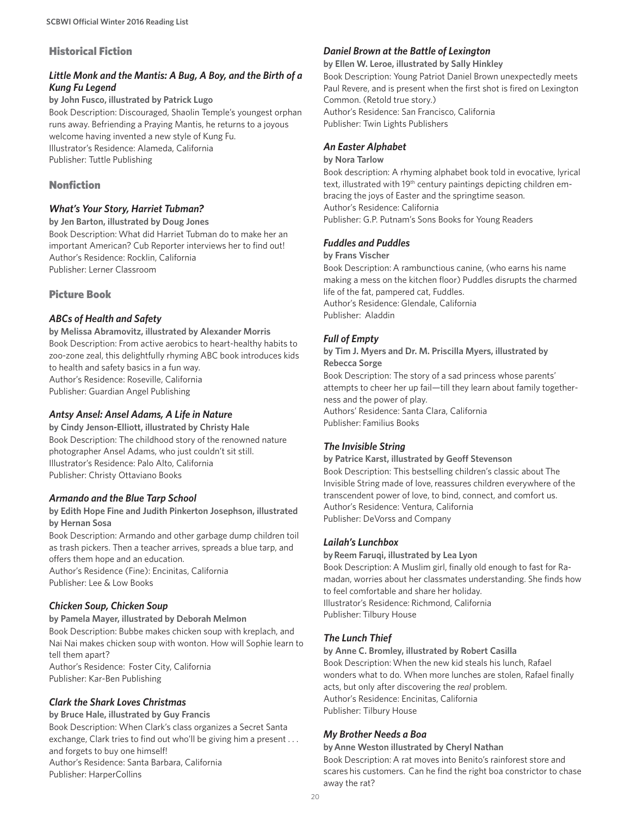#### Historical Fiction

### *Little Monk and the Mantis: A Bug, A Boy, and the Birth of a Kung Fu Legend*

**by John Fusco, illustrated by Patrick Lugo** Book Description: Discouraged, Shaolin Temple's youngest orphan runs away. Befriending a Praying Mantis, he returns to a joyous welcome having invented a new style of Kung Fu. Illustrator's Residence: Alameda, California Publisher: Tuttle Publishing

### Nonfiction

#### *What's Your Story, Harriet Tubman?*

**by Jen Barton, illustrated by Doug Jones** Book Description: What did Harriet Tubman do to make her an important American? Cub Reporter interviews her to find out! Author's Residence: Rocklin, California Publisher: Lerner Classroom

#### Picture Book

#### *ABCs of Health and Safety*

**by Melissa Abramovitz, illustrated by Alexander Morris** Book Description: From active aerobics to heart-healthy habits to zoo-zone zeal, this delightfully rhyming ABC book introduces kids to health and safety basics in a fun way. Author's Residence: Roseville, California Publisher: Guardian Angel Publishing

#### *Antsy Ansel: Ansel Adams, A Life in Nature*

**by Cindy Jenson-Elliott, illustrated by Christy Hale** Book Description: The childhood story of the renowned nature photographer Ansel Adams, who just couldn't sit still. Illustrator's Residence: Palo Alto, California Publisher: Christy Ottaviano Books

#### *Armando and the Blue Tarp School*

#### **by Edith Hope Fine and Judith Pinkerton Josephson, illustrated by Hernan Sosa**

Book Description: Armando and other garbage dump children toil as trash pickers. Then a teacher arrives, spreads a blue tarp, and offers them hope and an education.

Author's Residence (Fine): Encinitas, California Publisher: Lee & Low Books

### *Chicken Soup, Chicken Soup*

#### **by Pamela Mayer, illustrated by Deborah Melmon**

Book Description: Bubbe makes chicken soup with kreplach, and Nai Nai makes chicken soup with wonton. How will Sophie learn to tell them apart? Author's Residence: Foster City, California

Publisher: Kar-Ben Publishing

#### *Clark the Shark Loves Christmas*

#### **by Bruce Hale, illustrated by Guy Francis**

Book Description: When Clark's class organizes a Secret Santa exchange, Clark tries to find out who'll be giving him a present . . . and forgets to buy one himself! Author's Residence: Santa Barbara, California Publisher: HarperCollins

#### *Daniel Brown at the Battle of Lexington*

**by Ellen W. Leroe, illustrated by Sally Hinkley** Book Description: Young Patriot Daniel Brown unexpectedly meets Paul Revere, and is present when the first shot is fired on Lexington Common. (Retold true story.) Author's Residence: San Francisco, California Publisher: Twin Lights Publishers

*An Easter Alphabet*

### **by Nora Tarlow**

Book description: A rhyming alphabet book told in evocative, lyrical text, illustrated with 19<sup>th</sup> century paintings depicting children embracing the joys of Easter and the springtime season. Author's Residence: California Publisher: G.P. Putnam's Sons Books for Young Readers

#### *Fuddles and Puddles*

#### **by Frans Vischer**

Book Description: A rambunctious canine, (who earns his name making a mess on the kitchen floor) Puddles disrupts the charmed life of the fat, pampered cat, Fuddles. Author's Residence: Glendale, California Publisher: Aladdin

#### *Full of Empty*

**by Tim J. Myers and Dr. M. Priscilla Myers, illustrated by Rebecca Sorge** Book Description: The story of a sad princess whose parents' attempts to cheer her up fail—till they learn about family togetherness and the power of play.

Authors' Residence: Santa Clara, California Publisher: Familius Books

#### *The Invisible String*

#### **by Patrice Karst, illustrated by Geoff Stevenson**

Book Description: This bestselling children's classic about The Invisible String made of love, reassures children everywhere of the transcendent power of love, to bind, connect, and comfort us. Author's Residence: Ventura, California Publisher: DeVorss and Company

#### *Lailah's Lunchbox*

#### **by Reem Faruqi, illustrated by Lea Lyon**

Book Description: A Muslim girl, finally old enough to fast for Ramadan, worries about her classmates understanding. She finds how to feel comfortable and share her holiday. Illustrator's Residence: Richmond, California Publisher: Tilbury House

#### *The Lunch Thief*

#### **by Anne C. Bromley, illustrated by Robert Casilla**

Book Description: When the new kid steals his lunch, Rafael wonders what to do. When more lunches are stolen, Rafael finally acts, but only after discovering the *real* problem. Author's Residence: Encinitas, California Publisher: Tilbury House

#### *My Brother Needs a Boa*

### **by Anne Weston illustrated by Cheryl Nathan**

Book Description: A rat moves into Benito's rainforest store and scares his customers. Can he find the right boa constrictor to chase away the rat?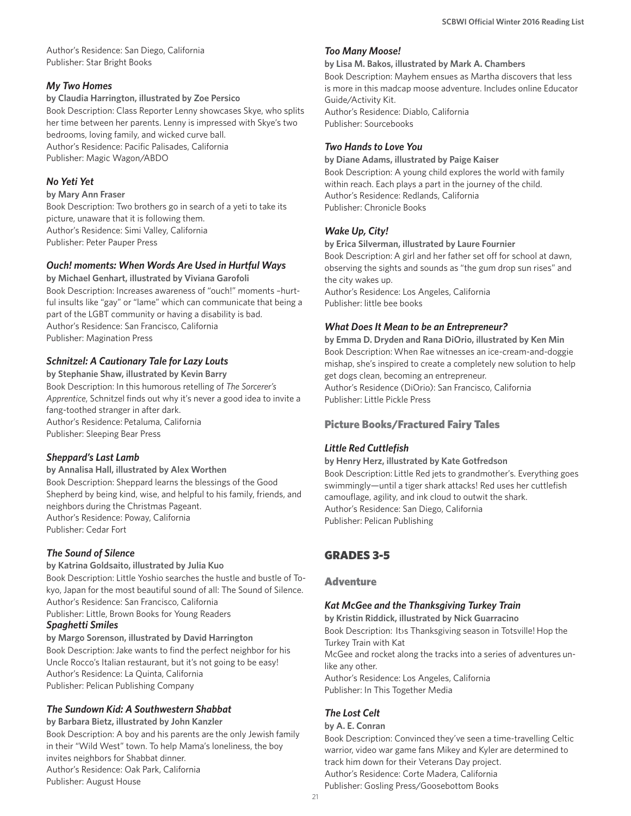Author's Residence: San Diego, California Publisher: Star Bright Books

### *My Two Homes*

**by Claudia Harrington, illustrated by Zoe Persico** Book Description: Class Reporter Lenny showcases Skye, who splits her time between her parents. Lenny is impressed with Skye's two bedrooms, loving family, and wicked curve ball. Author's Residence: Pacific Palisades, California

Publisher: Magic Wagon/ABDO

#### *No Yeti Yet*

#### **by Mary Ann Fraser**

Book Description: Two brothers go in search of a yeti to take its picture, unaware that it is following them. Author's Residence: Simi Valley, California Publisher: Peter Pauper Press

#### *Ouch! moments: When Words Are Used in Hurtful Ways*

**by Michael Genhart, illustrated by Viviana Garofoli** Book Description: Increases awareness of "ouch!" moments –hurtful insults like "gay" or "lame" which can communicate that being a part of the LGBT community or having a disability is bad. Author's Residence: San Francisco, California Publisher: Magination Press

### *Schnitzel: A Cautionary Tale for Lazy Louts*

**by Stephanie Shaw, illustrated by Kevin Barry** Book Description: In this humorous retelling of *The Sorcerer's Apprentice*, Schnitzel finds out why it's never a good idea to invite a fang-toothed stranger in after dark. Author's Residence: Petaluma, California Publisher: Sleeping Bear Press

### *Sheppard's Last Lamb*

**by Annalisa Hall, illustrated by Alex Worthen** Book Description: Sheppard learns the blessings of the Good Shepherd by being kind, wise, and helpful to his family, friends, and neighbors during the Christmas Pageant. Author's Residence: Poway, California Publisher: Cedar Fort

### *The Sound of Silence*

#### **by Katrina Goldsaito, illustrated by Julia Kuo**

Book Description: Little Yoshio searches the hustle and bustle of Tokyo, Japan for the most beautiful sound of all: The Sound of Silence. Author's Residence: San Francisco, California

Publisher: Little, Brown Books for Young Readers

### *Spaghetti Smiles*

**by Margo Sorenson, illustrated by David Harrington** Book Description: Jake wants to find the perfect neighbor for his Uncle Rocco's Italian restaurant, but it's not going to be easy! Author's Residence: La Quinta, California Publisher: Pelican Publishing Company

### *The Sundown Kid: A Southwestern Shabbat*

**by Barbara Bietz, illustrated by John Kanzler** Book Description: A boy and his parents are the only Jewish family in their "Wild West" town. To help Mama's loneliness, the boy invites neighbors for Shabbat dinner. Author's Residence: Oak Park, California Publisher: August House

#### *Too Many Moose!*

#### **by Lisa M. Bakos, illustrated by Mark A. Chambers**

Book Description: Mayhem ensues as Martha discovers that less is more in this madcap moose adventure. Includes online Educator Guide/Activity Kit. Author's Residence: Diablo, California Publisher: Sourcebooks

#### *Two Hands to Love You*

**by Diane Adams, illustrated by Paige Kaiser** Book Description: A young child explores the world with family within reach. Each plays a part in the journey of the child. Author's Residence: Redlands, California Publisher: Chronicle Books

### *Wake Up, City!*

**by Erica Silverman, illustrated by Laure Fournier** Book Description: A girl and her father set off for school at dawn, observing the sights and sounds as "the gum drop sun rises" and the city wakes up.

Author's Residence: Los Angeles, California Publisher: little bee books

### *What Does It Mean to be an Entrepreneur?*

**by Emma D. Dryden and Rana DiOrio, illustrated by Ken Min** Book Description: When Rae witnesses an ice-cream-and-doggie mishap, she's inspired to create a completely new solution to help get dogs clean, becoming an entrepreneur. Author's Residence (DiOrio): San Francisco, California Publisher: Little Pickle Press

### Picture Books/Fractured Fairy Tales

### *Little Red Cuttlefish*

#### **by Henry Herz, illustrated by Kate Gotfredson**

Book Description: Little Red jets to grandmother's. Everything goes swimmingly—until a tiger shark attacks! Red uses her cuttlefish camouflage, agility, and ink cloud to outwit the shark. Author's Residence: San Diego, California Publisher: Pelican Publishing

# GRADES 3-5

#### Adventure

#### *Kat McGee and the Thanksgiving Turkey Train*

**by Kristin Riddick, illustrated by Nick Guarracino**  Book Description: It›s Thanksgiving season in Totsville! Hop the Turkey Train with Kat McGee and rocket along the tracks into a series of adventures unlike any other. Author's Residence: Los Angeles, California Publisher: In This Together Media

# *The Lost Celt*

#### **by A. E. Conran**

Book Description: Convinced they've seen a time-travelling Celtic warrior, video war game fans Mikey and Kyler are determined to track him down for their Veterans Day project. Author's Residence: Corte Madera, California Publisher: Gosling Press/Goosebottom Books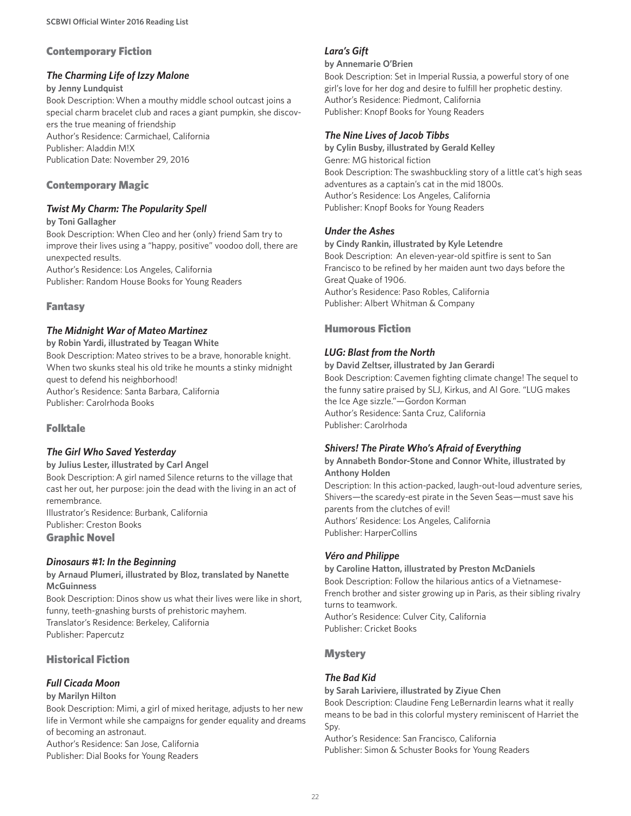#### Contemporary Fiction

#### *The Charming Life of Izzy Malone*

#### **by Jenny Lundquist**

Book Description: When a mouthy middle school outcast joins a special charm bracelet club and races a giant pumpkin, she discovers the true meaning of friendship Author's Residence: Carmichael, California Publisher: Aladdin M!X Publication Date: November 29, 2016

### Contemporary Magic

#### *Twist My Charm: The Popularity Spell*

**by Toni Gallagher** Book Description: When Cleo and her (only) friend Sam try to improve their lives using a "happy, positive" voodoo doll, there are unexpected results.

Author's Residence: Los Angeles, California Publisher: Random House Books for Young Readers

#### Fantasy

#### *The Midnight War of Mateo Martinez*

**by Robin Yardi, illustrated by Teagan White**  Book Description: Mateo strives to be a brave, honorable knight. When two skunks steal his old trike he mounts a stinky midnight quest to defend his neighborhood! Author's Residence: Santa Barbara, California Publisher: Carolrhoda Books

### Folktale

### *The Girl Who Saved Yesterday*

**by Julius Lester, illustrated by Carl Angel** Book Description: A girl named Silence returns to the village that cast her out, her purpose: join the dead with the living in an act of remembrance. Illustrator's Residence: Burbank, California

Publisher: Creston Books Graphic Novel

#### *Dinosaurs #1: In the Beginning*

**by Arnaud Plumeri, illustrated by Bloz, translated by Nanette McGuinness**

Book Description: Dinos show us what their lives were like in short, funny, teeth-gnashing bursts of prehistoric mayhem. Translator's Residence: Berkeley, California Publisher: Papercutz

## Historical Fiction

### *Full Cicada Moon*

#### **by Marilyn Hilton**

Book Description: Mimi, a girl of mixed heritage, adjusts to her new life in Vermont while she campaigns for gender equality and dreams of becoming an astronaut.

Author's Residence: San Jose, California Publisher: Dial Books for Young Readers

#### *Lara's Gift*

#### **by Annemarie O'Brien**

Book Description: Set in Imperial Russia, a powerful story of one girl's love for her dog and desire to fulfill her prophetic destiny. Author's Residence: Piedmont, California Publisher: Knopf Books for Young Readers

### *The Nine Lives of Jacob Tibbs*

**by Cylin Busby, illustrated by Gerald Kelley** Genre: MG historical fiction Book Description: The swashbuckling story of a little cat's high seas adventures as a captain's cat in the mid 1800s. Author's Residence: Los Angeles, California Publisher: Knopf Books for Young Readers

#### *Under the Ashes*

**by Cindy Rankin, illustrated by Kyle Letendre** Book Description: An eleven-year-old spitfire is sent to San Francisco to be refined by her maiden aunt two days before the Great Quake of 1906. Author's Residence: Paso Robles, California Publisher: Albert Whitman & Company

### Humorous Fiction

### *LUG: Blast from the North*

**by David Zeltser, illustrated by Jan Gerardi** Book Description: Cavemen fighting climate change! The sequel to the funny satire praised by SLJ, Kirkus, and Al Gore. "LUG makes the Ice Age sizzle."—Gordon Korman Author's Residence: Santa Cruz, California Publisher: Carolrhoda

### *Shivers! The Pirate Who's Afraid of Everything*

**by Annabeth Bondor-Stone and Connor White, illustrated by Anthony Holden**

Description: In this action-packed, laugh-out-loud adventure series, Shivers—the scaredy-est pirate in the Seven Seas—must save his parents from the clutches of evil! Authors' Residence: Los Angeles, California Publisher: HarperCollins

#### *Véro and Philippe*

# **by Caroline Hatton, illustrated by Preston McDaniels**

Book Description: Follow the hilarious antics of a Vietnamese-French brother and sister growing up in Paris, as their sibling rivalry turns to teamwork. Author's Residence: Culver City, California Publisher: Cricket Books

### **Mystery**

### *The Bad Kid*

**by Sarah Lariviere, illustrated by Ziyue Chen** Book Description: Claudine Feng LeBernardin learns what it really means to be bad in this colorful mystery reminiscent of Harriet the Spy.

Author's Residence: San Francisco, California Publisher: Simon & Schuster Books for Young Readers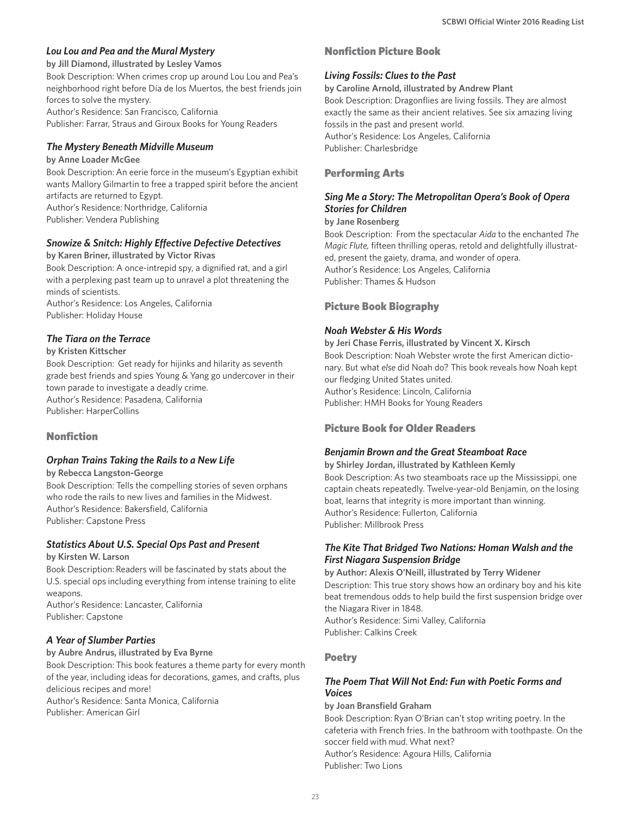#### *Lou Lou and Pea and the Mural Mystery*

**by Jill Diamond, illustrated by Lesley Vamos** Book Description: When crimes crop up around Lou Lou and Pea's neighborhood right before Día de los Muertos, the best friends join forces to solve the mystery.

Author's Residence: San Francisco, California Publisher: Farrar, Straus and Giroux Books for Young Readers

### *The Mystery Beneath Midville Museum*

**by Anne Loader McGee** Book Description: An eerie force in the museum's Egyptian exhibit wants Mallory Gilmartin to free a trapped spirit before the ancient artifacts are returned to Egypt.

Author's Residence: Northridge, California Publisher: Vendera Publishing

### *Snowize & Snitch: Highly Effective Defective Detectives*

**by Karen Briner, illustrated by Victor Rivas**

Book Description: A once-intrepid spy, a dignified rat, and a girl with a perplexing past team up to unravel a plot threatening the minds of scientists.

Author's Residence: Los Angeles, California Publisher: Holiday House

#### *The Tiara on the Terrace*

**by Kristen Kittscher**

Book Description: Get ready for hijinks and hilarity as seventh grade best friends and spies Young & Yang go undercover in their town parade to investigate a deadly crime. Author's Residence: Pasadena, California Publisher: HarperCollins

### Nonfiction

### *Orphan Trains Taking the Rails to a New Life*

**by Rebecca Langston-George**

Book Description: Tells the compelling stories of seven orphans who rode the rails to new lives and families in the Midwest. Author's Residence: Bakersfield, California Publisher: Capstone Press

### *Statistics About U.S. Special Ops Past and Present*

**by Kirsten W. Larson**

Book Description: Readers will be fascinated by stats about the U.S. special ops including everything from intense training to elite weapons.

Author's Residence: Lancaster, California Publisher: Capstone

### *A Year of Slumber Parties*

**by Aubre Andrus, illustrated by Eva Byrne** Book Description: This book features a theme party for every month of the year, including ideas for decorations, games, and crafts, plus delicious recipes and more! Author's Residence: Santa Monica, California

Publisher: American Girl

### Nonfiction Picture Book

### *Living Fossils: Clues to the Past*

**by Caroline Arnold, illustrated by Andrew Plant**

Book Description: Dragonflies are living fossils. They are almost exactly the same as their ancient relatives. See six amazing living fossils in the past and present world. Author's Residence: Los Angeles, California Publisher: Charlesbridge

### Performing Arts

#### *Sing Me a Story: The Metropolitan Opera's Book of Opera Stories for Children*

#### **by Jane Rosenberg**

Book Description: From the spectacular *Aida* to the enchanted *The Magic Flute,* fifteen thrilling operas, retold and delightfully illustrated, present the gaiety, drama, and wonder of opera. Author's Residence: Los Angeles, California Publisher: Thames & Hudson

### Picture Book Biography

#### *Noah Webster & His Words*

**by Jeri Chase Ferris, illustrated by Vincent X. Kirsch** Book Description: Noah Webster wrote the first American dictionary. But what *else* did Noah do? This book reveals how Noah kept our fledging United States united. Author's Residence: Lincoln, California Publisher: HMH Books for Young Readers

### Picture Book for Older Readers

#### *Benjamin Brown and the Great Steamboat Race*

**by Shirley Jordan, illustrated by Kathleen Kemly** Book Description: As two steamboats race up the Mississippi, one captain cheats repeatedly. Twelve-year-old Benjamin, on the losing boat, learns that integrity is more important than winning. Author's Residence: Fullerton, California Publisher: Millbrook Press

#### *The Kite That Bridged Two Nations: Homan Walsh and the First Niagara Suspension Bridge*

**by Author: Alexis O'Neill, illustrated by Terry Widener** Description: This true story shows how an ordinary boy and his kite beat tremendous odds to help build the first suspension bridge over the Niagara River in 1848. Author's Residence: Simi Valley, California Publisher: Calkins Creek

#### Poetry

### *The Poem That Will Not End: Fun with Poetic Forms and Voices*

**by Joan Bransfield Graham** 

Book Description: Ryan O'Brian can't stop writing poetry. In the cafeteria with French fries. In the bathroom with toothpaste. On the soccer field with mud. What next?

Author's Residence: Agoura Hills, California Publisher: Two Lions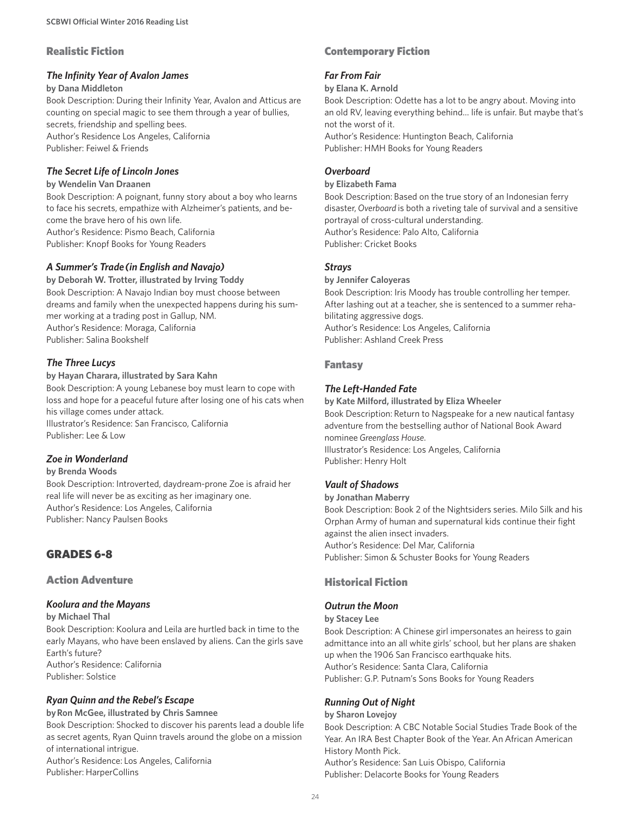### Realistic Fiction

#### *The Infinity Year of Avalon James*

#### **by Dana Middleton**

Book Description: During their Infinity Year, Avalon and Atticus are counting on special magic to see them through a year of bullies, secrets, friendship and spelling bees. Author's Residence Los Angeles, California Publisher: Feiwel & Friends

#### *The Secret Life of Lincoln Jones*

#### **by Wendelin Van Draanen**

Book Description: A poignant, funny story about a boy who learns to face his secrets, empathize with Alzheimer's patients, and become the brave hero of his own life. Author's Residence: Pismo Beach, California Publisher: Knopf Books for Young Readers

### *A Summer's Trade (in English and Navajo)*

**by Deborah W. Trotter, illustrated by Irving Toddy** Book Description: A Navajo Indian boy must choose between dreams and family when the unexpected happens during his summer working at a trading post in Gallup, NM. Author's Residence: Moraga, California Publisher: Salina Bookshelf

### *The Three Lucys*

#### **by Hayan Charara, illustrated by Sara Kahn** Book Description: A young Lebanese boy must learn to cope with loss and hope for a peaceful future after losing one of his cats when his village comes under attack. Illustrator's Residence: San Francisco, California Publisher: Lee & Low

### *Zoe in Wonderland*

#### **by Brenda Woods**

Book Description: Introverted, daydream-prone Zoe is afraid her real life will never be as exciting as her imaginary one. Author's Residence: Los Angeles, California Publisher: Nancy Paulsen Books

# GRADES 6-8

### Action Adventure

### *Koolura and the Mayans*

#### **by Michael Thal**

Book Description: Koolura and Leila are hurtled back in time to the early Mayans, who have been enslaved by aliens. Can the girls save Earth's future? Author's Residence: California Publisher: Solstice

### *Ryan Quinn and the Rebel's Escape*

**by Ron McGee, illustrated by Chris Samnee** Book Description: Shocked to discover his parents lead a double life as secret agents, Ryan Quinn travels around the globe on a mission of international intrigue. Author's Residence: Los Angeles, California Publisher: HarperCollins

### Contemporary Fiction

### *Far From Fair*

**by Elana K. Arnold**

Book Description: Odette has a lot to be angry about. Moving into an old RV, leaving everything behind… life is unfair. But maybe that's not the worst of it. Author's Residence: Huntington Beach, California

Publisher: HMH Books for Young Readers

### *Overboard*

#### **by Elizabeth Fama**

Book Description: Based on the true story of an Indonesian ferry disaster, *Overboard* is both a riveting tale of survival and a sensitive portrayal of cross-cultural understanding. Author's Residence: Palo Alto, California Publisher: Cricket Books

#### *Strays*

#### **by Jennifer Caloyeras** Book Description: Iris Moody has trouble controlling her temper. After lashing out at a teacher, she is sentenced to a summer rehabilitating aggressive dogs. Author's Residence: Los Angeles, California

Publisher: Ashland Creek Press

### Fantasy

### *The Left-Handed Fate*

**by Kate Milford, illustrated by Eliza Wheeler** Book Description: Return to Nagspeake for a new nautical fantasy adventure from the bestselling author of National Book Award nominee *Greenglass House*. Illustrator's Residence: Los Angeles, California Publisher: Henry Holt

### *Vault of Shadows*

#### **by Jonathan Maberry**

Book Description: Book 2 of the Nightsiders series. Milo Silk and his Orphan Army of human and supernatural kids continue their fight against the alien insect invaders. Author's Residence: Del Mar, California

Publisher: Simon & Schuster Books for Young Readers

# Historical Fiction

# *Outrun the Moon*

### **by Stacey Lee**

Book Description: A Chinese girl impersonates an heiress to gain admittance into an all white girls' school, but her plans are shaken up when the 1906 San Francisco earthquake hits. Author's Residence: Santa Clara, California Publisher: G.P. Putnam's Sons Books for Young Readers

### *Running Out of Night*

#### **by Sharon Lovejoy**

Book Description: A CBC Notable Social Studies Trade Book of the Year. An IRA Best Chapter Book of the Year. An African American History Month Pick. Author's Residence: San Luis Obispo, California Publisher: Delacorte Books for Young Readers

 $24$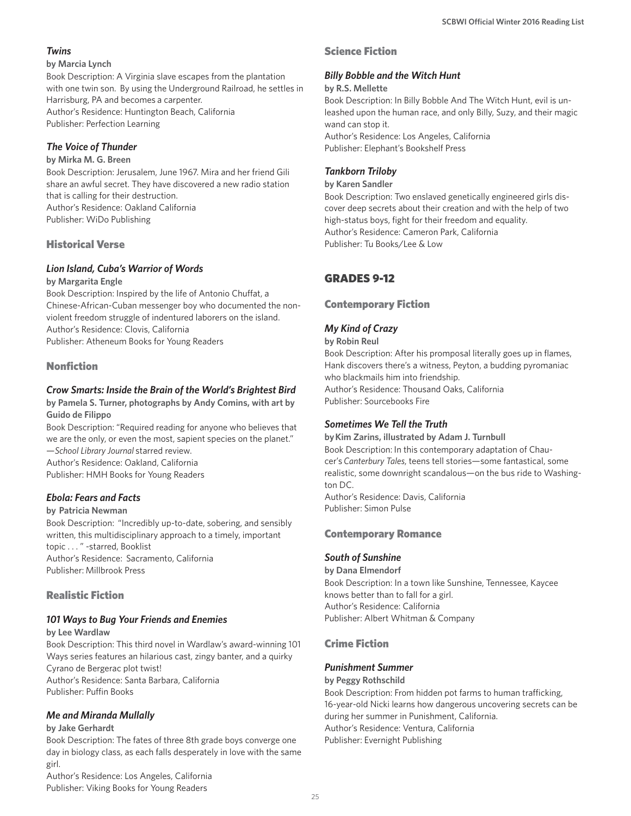### *Twins*

#### **by Marcia Lynch**

Book Description: A Virginia slave escapes from the plantation with one twin son. By using the Underground Railroad, he settles in Harrisburg, PA and becomes a carpenter. Author's Residence: Huntington Beach, California Publisher: Perfection Learning

### *The Voice of Thunder*

**by Mirka M. G. Breen**

Book Description: Jerusalem, June 1967. Mira and her friend Gili share an awful secret. They have discovered a new radio station that is calling for their destruction. Author's Residence: Oakland California Publisher: WiDo Publishing

### Historical Verse

### *Lion Island, Cuba's Warrior of Words*

#### **by Margarita Engle**

Book Description: Inspired by the life of Antonio Chuffat, a Chinese-African-Cuban messenger boy who documented the nonviolent freedom struggle of indentured laborers on the island. Author's Residence: Clovis, California Publisher: Atheneum Books for Young Readers

### Nonfiction

### *Crow Smarts: Inside the Brain of the World's Brightest Bird*

**by Pamela S. Turner, photographs by Andy Comins, with art by Guido de Filippo**

Book Description: "Required reading for anyone who believes that we are the only, or even the most, sapient species on the planet." —*School Library Journal* starred review. Author's Residence: Oakland, California Publisher: HMH Books for Young Readers

### *Ebola: Fears and Facts*

#### **by Patricia Newman**

Book Description: "Incredibly up-to-date, sobering, and sensibly written, this multidisciplinary approach to a timely, important topic . . . " -starred, Booklist Author's Residence: Sacramento, California Publisher: Millbrook Press

### Realistic Fiction

### *101 Ways to Bug Your Friends and Enemies*

**by Lee Wardlaw**

Book Description: This third novel in Wardlaw's award-winning 101 Ways series features an hilarious cast, zingy banter, and a quirky Cyrano de Bergerac plot twist! Author's Residence: Santa Barbara, California Publisher: Puffin Books

### *Me and Miranda Mullally*

#### **by Jake Gerhardt**

Book Description: The fates of three 8th grade boys converge one day in biology class, as each falls desperately in love with the same girl.

Author's Residence: Los Angeles, California Publisher: Viking Books for Young Readers

### Science Fiction

### *Billy Bobble and the Witch Hunt*

#### **by R.S. Mellette**

Book Description: In Billy Bobble And The Witch Hunt, evil is unleashed upon the human race, and only Billy, Suzy, and their magic wand can stop it. Author's Residence: Los Angeles, California Publisher: Elephant's Bookshelf Press

### *Tankborn Triloby*

#### **by Karen Sandler**

Book Description: Two enslaved genetically engineered girls discover deep secrets about their creation and with the help of two high-status boys, fight for their freedom and equality. Author's Residence: Cameron Park, California Publisher: Tu Books/Lee & Low

# GRADES 9-12

### Contemporary Fiction

### *My Kind of Crazy*

**by Robin Reul**

Book Description: After his promposal literally goes up in flames, Hank discovers there's a witness, Peyton, a budding pyromaniac who blackmails him into friendship. Author's Residence: Thousand Oaks, California Publisher: Sourcebooks Fire

### *Sometimes We Tell the Truth*

**by Kim Zarins, illustrated by Adam J. Turnbull** Book Description: In this contemporary adaptation of Chaucer's *Canterbury Tales*, teens tell stories—some fantastical, some realistic, some downright scandalous—on the bus ride to Washington DC. Author's Residence: Davis, California

Publisher: Simon Pulse

### Contemporary Romance

### *South of Sunshine*

**by Dana Elmendorf** Book Description: In a town like Sunshine, Tennessee, Kaycee knows better than to fall for a girl. Author's Residence: California Publisher: Albert Whitman & Company

### Crime Fiction

#### *Punishment Summer*

#### **by Peggy Rothschild**

Book Description: From hidden pot farms to human trafficking, 16-year-old Nicki learns how dangerous uncovering secrets can be during her summer in Punishment, California. Author's Residence: Ventura, California Publisher: Evernight Publishing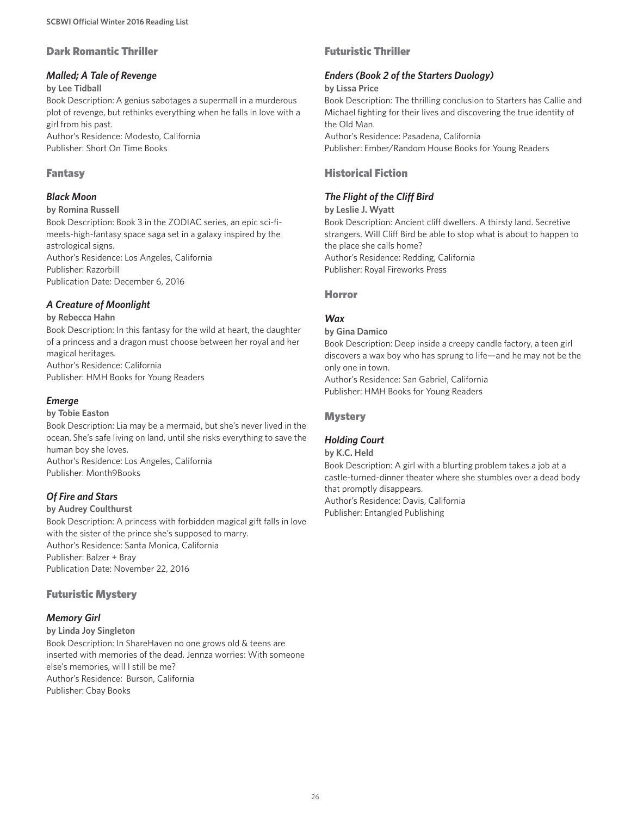#### Dark Romantic Thriller

#### *Malled; A Tale of Revenge*

**by Lee Tidball**

Book Description: A genius sabotages a supermall in a murderous plot of revenge, but rethinks everything when he falls in love with a girl from his past.

Author's Residence: Modesto, California Publisher: Short On Time Books

### Fantasy

#### *Black Moon*

#### **by Romina Russell**

Book Description: Book 3 in the ZODIAC series, an epic sci-fimeets-high-fantasy space saga set in a galaxy inspired by the astrological signs. Author's Residence: Los Angeles, California

Publisher: Razorbill Publication Date: December 6, 2016

### *A Creature of Moonlight*

**by Rebecca Hahn**

Book Description: In this fantasy for the wild at heart, the daughter of a princess and a dragon must choose between her royal and her magical heritages. Author's Residence: California Publisher: HMH Books for Young Readers

### *Emerge*

#### **by Tobie Easton**

Book Description: Lia may be a mermaid, but she's never lived in the ocean. She's safe living on land, until she risks everything to save the human boy she loves. Author's Residence: Los Angeles, California Publisher: Month9Books

### *Of Fire and Stars*

#### **by Audrey Coulthurst**

Book Description: A princess with forbidden magical gift falls in love with the sister of the prince she's supposed to marry. Author's Residence: Santa Monica, California Publisher: Balzer + Bray Publication Date: November 22, 2016

### Futuristic Mystery

### *Memory Girl*

**by Linda Joy Singleton** Book Description: In ShareHaven no one grows old & teens are inserted with memories of the dead. Jennza worries: With someone else's memories, will I still be me? Author's Residence: Burson, California Publisher: Cbay Books

### Futuristic Thriller

#### *Enders (Book 2 of the Starters Duology)*

#### **by Lissa Price**

Book Description: The thrilling conclusion to Starters has Callie and Michael fighting for their lives and discovering the true identity of the Old Man.

Author's Residence: Pasadena, California Publisher: Ember/Random House Books for Young Readers

### Historical Fiction

### *The Flight of the Cliff Bird*

**by Leslie J. Wyatt** Book Description: Ancient cliff dwellers. A thirsty land. Secretive strangers. Will Cliff Bird be able to stop what is about to happen to the place she calls home? Author's Residence: Redding, California Publisher: Royal Fireworks Press

#### Horror

### *Wax*

**by Gina Damico**

Book Description: Deep inside a creepy candle factory, a teen girl discovers a wax boy who has sprung to life—and he may not be the only one in town.

Author's Residence: San Gabriel, California Publisher: HMH Books for Young Readers

### **Mystery**

### *Holding Court*

**by K.C. Held**

Book Description: A girl with a blurting problem takes a job at a castle-turned-dinner theater where she stumbles over a dead body that promptly disappears. Author's Residence: Davis, California

Publisher: Entangled Publishing